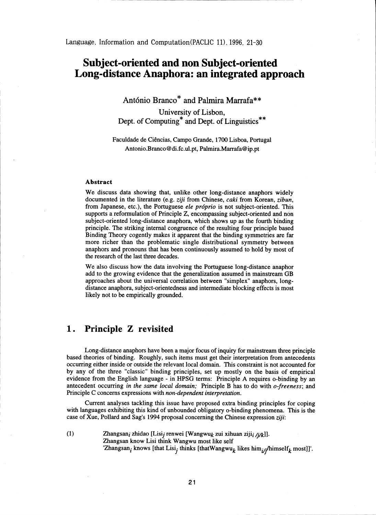Language, Information and Computation(PACLIC 11), 1996, 21-30

# Subject-oriented and non Subject-oriented Long-distance Anaphora: an integrated approach

António Branco\* and Palmira Marrafa\*\*

University of Lisbon, Dept. of Computing\* and Dept. of Linguistics\*\*

Faculdade de Ciencias, Campo Grande, 1700 Lisboa, Portugal Antonio.Branco@di.fc.ul.pt, Palmira.Marrafa@ip.pt

#### Abstract

We discuss data showing that, unlike other long-distance anaphors widely documented in the literature (e.g. *ziji* from Chinese, *caki* from Korean, *zibun,* from Japanese, etc.), the Portuguese *ele próprio* is not subject-oriented. This supports a reformulation of Principle Z, encompassing subject-oriented and non subject-oriented long-distance anaphora, which shows up as the fourth binding principle. The striking internal congruence of the resulting four principle based Binding Theory cogently makes it apparent that the binding symmetries are far more richer than the problematic single distributional symmetry between anaphors and pronouns that has been continuously assumed to hold by most of the research of the last three decades.

We also discuss how the data involving the Portuguese long-distance anaphor add to the growing evidence that the generalization assumed in mainstream GB approaches about the universal correlation between "simplex" anaphors, longdistance anaphora, subject-orientedness and intermediate blocking effects is most likely not to be empirically grounded.

## 1. Principle Z revisited

Long-distance anaphors have been a major focus of inquiry for mainstream three principle based theories of binding. Roughly, such items must get their interpretation from antecedents occurring either inside or outside the relevant local domain. This constraint is not accounted for by any of the three "classic" binding principles, set up mostly on the basis of empirical evidence from the English language - in HPSG terms: Principle A requires o-binding by an antecedent occurring *in the same local domain;* Principle B has to do with *o-freeness;* and Principle C concerns expressions with *non-dependent interpretation.*

Current analyses tackling this issue have proposed extra binding principles for coping with languages exhibiting this kind of unbounded obligatory o-binding phenomena. This is the case of Xue, Pollard and Sag's 1994 proposal concerning the Chinese expression *ziji:*

(1) Zhangsan<sub>i</sub> zhidao [Lisi<sub>j</sub> renwei [Wangwu<sub>k</sub> zui xihuan ziji<sub>i /i/k</sub>]]. Zhangsan know Lisi think Wangwu most like self 'Zhangsan<sub>i</sub> knows [that Lisi<sub>j</sub> thinks [thatWangwu<sub>k</sub> likes him<sub>i/i</sub>/himself<sub>k</sub> most]]'.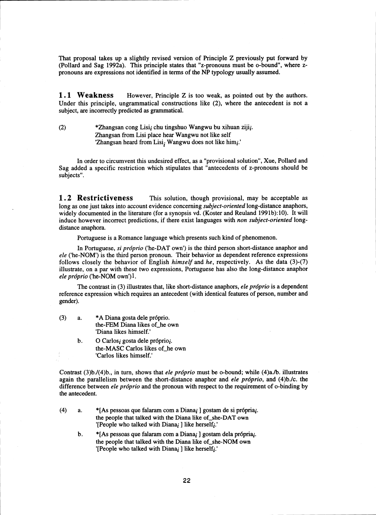That proposal takes up a slightly revised version of Principle Z previously put forward by (Pollard and Sag 1992a). This principle states that "z-pronouns must be o-bound", where zpronouns are expressions not identified in terms of the NP typology usually assumed.

**1.1 Weakness** However, Principle Z is too weak, as pointed out by the authors. Under this principle, ungrammatical constructions like (2), where the antecedent is not a subject, are incorrectly predicted as grammatical.

(2) \* Zhangsan cong Lisi<sub>i</sub> chu tingshuo Wangwu bu xihuan ziji<sub>i</sub>. Zhangsan from Lisi place hear Wangwu not like self 'Zhangsan heard from Lisi; Wangwu does not like himi.'

In order to circumvent this undesired effect, as a "provisional solution", Xue, Pollard and Sag added a specific restriction which stipulates that "antecedents of z-pronouns should be subjects".

**1.2 Restrictiveness** This solution, though provisional, may be acceptable as long as one just takes into account evidence concerning *subject-oriented* long-distance anaphors, widely documented in the literature (for a synopsis vd. (Koster and Reuland 1991b):10). It will induce however incorrect predictions, if there exist languages with *non subject-oriented* longdistance anaphora.

Portuguese is a Romance language which presents such kind of phenomenon.

In Portuguese, *si próprio* ('he-DAT own') is the third person short-distance anaphor and *ele* ('he-NOM') is the third person pronoun. Their behavior as dependent reference expressions follows closely the behavior of English *himself* and *he,* respectively. As the data (3)-(7) illustrate, on a par with these two expressions, Portuguese has also the long-distance anaphor *ele próprio* ('he-NOM own')<sup>1</sup>.

The contrast in (3) illustrates that, like short-distance anaphors, *ele próprio* is a dependent reference expression which requires an antecedent (with identical features of person, number and gender).

- $(3)$  a. \*A Diana gosta dele próprio. the-FEM Diana likes of he own 'Diana likes himself.'
	- b. O Carlosi gosta dele próprioi. the-MASC Carlos likes of he own 'Carlos likes himself.'

Contrast (3)b./(4)b., in turn, shows that *ele próprio* must be o-bound; while (4)a./b. illustrates again the parallelism between the short-distance anaphor and *ele próprio*, and (4)b./c. the difference between *ele próprio* and the pronoun with respect to the requirement of o-binding by the antecedent.

- (4) a. \* [As pessoas que falaram com a Diana<sub>i</sub> ] gostam de si própria<sub>i</sub>. the people that talked with the Diana like of she-DAT own '[People who talked with Diana<sub>i</sub> ] like herself<sub>i</sub>.'
	- b. \* [As pessoas que falaram com a Diana<sub>i</sub> ] gostam dela própria<sub>i</sub>. the people that talked with the Diana like of she-NOM own '[People who talked with Diana $_i$ ] like herself $_i$ .'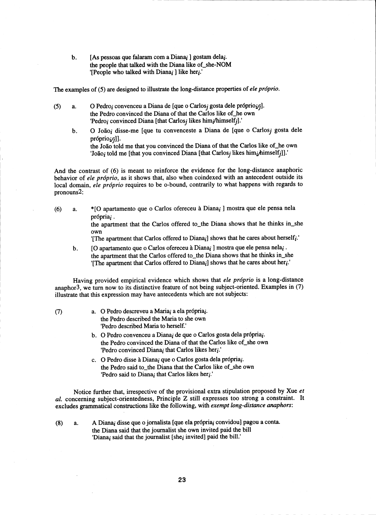b. [As pessoas que falaram com a Diana<sub>i</sub> ] gostam dela<sub>i</sub>. the people that talked with the Diana like of she-NOM '[People who talked with  $Dianaj$ ] like her $i$ .'

The examples of (5) are designed to illustrate the long-distance properties of *ele próprio*.

- $(5)$  **a.** O Pedro, convenceu a Diana de [que o Carlos, gosta dele próprio $i$ <sub>i</sub>]. the Pedro convinced the Diana of that the Carlos like of he own 'Pedro<sub>i</sub> convinced Diana [that Carlos<sub>i</sub> likes him<sub>i</sub>/himself<sub>i</sub>].'
	- b. O João, disse-me [que tu convenceste a Diana de [que o Carlos, gosta dele  $projiprio_j$ ]. the João told me that you convinced the Diana of that the Carlos like of he own 'João; told me [that you convinced Diana [that Carlos; likes him; himself;]].'

And the contrast of (6) is meant to reinforce the evidence for the long-distance anaphoric behavior of *ele próprio*, as it shows that, also when coindexed with an antecedent outside its local domain, *ele próprio* requires to be o-bound, contrarily to what happens with regards to pronouns2:

(6) a. \* [O apartamento que o Carlos ofereceu à Diana<sub>i</sub> ] mostra que ele pensa nela  $prioria_i$ .

> the apartment that the Carlos offered to\_the Diana shows that he thinks in\_she own

'[The apartment that Carlos offered to Diana $_i$ ] shows that he cares about herself $_i$ .'

b. [O apartamento que o Carlos ofereceu à Diana; ] mostra que ele pensa nela; . the apartment that the Carlos offered to\_the Diana shows that he thinks in\_she '[The apartment that Carlos offered to Diana<sub>i</sub>] shows that he cares about her<sub>i</sub>.'

Having provided empirical evidence which shows that *ele próprio* is a long-distance anaphor<sup>3</sup>, we turn now to its distinctive feature of not being subject-oriented. Examples in  $(7)$ illustrate that this expression may have antecedents which are not subjects:

- 
- $(7)$  a. O Pedro descreveu a Maria, a ela própria, the Pedro described the Maria to she own 'Pedro described Maria to herself.'
	- b. O Pedro convenceu a Diana, de que o Carlos gosta dela própria,. the Pedro convinced the Diana of that the Carlos like of she own 'Pedro convinced Diana; that Carlos likes heri.'
	- c. O Pedro disse à Diana, que o Carlos gosta dela própria,. the Pedro said to the Diana that the Carlos like of she own 'Pedro said to Diana<sub>i</sub> that Carlos likes her $i$ .'

Notice further that, irrespective of the provisional extra stipulation proposed by Xue *et al.* concerning subject-orientedness, Principle Z still expresses too strong a constraint. It excludes grammatical constructions like the following, with *exempt long-distance anaphors:*

- 
- (8) a. A Diana, disse que o jornalista [que ela própria, convidou] pagou a conta. the Diana said that the journalist she own invited paid the bill 'Diana; said that the journalist [she; invited] paid the bill.'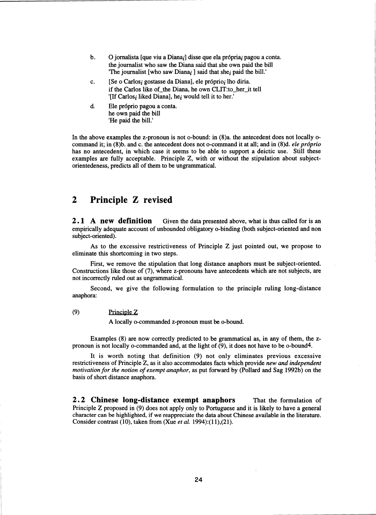- b. O jornalista [que viu a Diana<sub>i</sub>] disse que ela própria<sub>i</sub> pagou a conta. the journalist who saw the Diana said that she own paid the bill 'The journalist [who saw Diana<sub>i</sub> ] said that she<sub>i</sub> paid the bill.'
- c. [Se o Carlos; gostasse da Diana], ele próprio; lho diria. if the Carlos like of the Diana, he own CLIT:to\_her\_it tell '[If Carlos; liked Diana], he; would tell it to her.'
- d. Ele próprio pagou a conta. he own paid the bill 'He paid the bill.'

In the above examples the z-pronoun is not o-bound: in (8)a. the antecedent does not locally ocommand it; in (8)b. and c. the antecedent does not o-command it at all; and in (8)d. *ele próprio* has no antecedent, in which case it seems to be able to support a deictic use. Still these examples are fully acceptable. Principle Z, with or without the stipulation about subjectorientedeness, predicts all of them to be ungrammatical.

# 2 Principle Z revised

**2.1 A new definition** Given the data presented above, what is thus called for is an empirically adequate account of unbounded obligatory o-binding (both subject-oriented and non subject-oriented).

As to the excessive restrictiveness of Principle Z just pointed out, we propose to eliminate this shortcoming in two steps.

First, we remove the stipulation that long distance anaphors must be subject-oriented. Constructions like those of (7), where z-pronouns have antecedents which are not subjects, are not incorrectly ruled out as ungrammatical.

Second, we give the following formulation to the principle ruling long-distance anaphora:

#### (9) Principle Z

A locally o-commanded z-pronoun must be o-bound.

Examples (8) are now correctly predicted to be grammatical as, in any of them, the zpronoun is not locally o-commanded and, at the light of (9), it does not have to be o-bound4.

It is worth noting that definition (9) not only eliminates previous excessive restrictiveness of Principle Z, as it also accommodates facts which provide *new and independent motivation for the notion of exempt anaphor, as* put forward by (Pollard and Sag 1992b) on the basis of short distance anaphora.

2.2 Chinese long-distance exempt anaphors That the formulation of Principle Z proposed in (9) does not apply only to Portuguese and it is likely to have a general character can be highlighted, if we reappreciate the data about Chinese available in the literature. Consider contrast (10), taken from (Xue *et al.* 1994):(11),(21).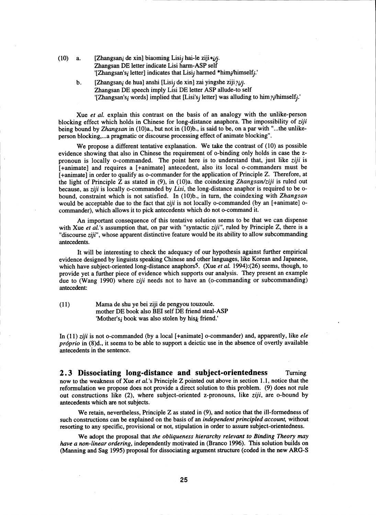- (10) a. [Zhangsan<sub>i</sub> de xin] biaoming Lisi<sub>j</sub> hai-le ziji $\ast i$ j. Zhangsan DE letter indicate Lisi harm-ASP self '[Zhangsan's<sub>i</sub> letter] indicates that Lisi<sub>j</sub> harmed \*him<sub>i</sub>/himself<sub>j</sub>.'
	- b. [Zhangsan<sub>i</sub> de hua] anshi [Lisi<sub>j</sub> de xin] zai yingshe ziji?*iji*. Zhangsan DE speech imply Lisi DE letter ASP allude-to self "[Zhangsan's<sub>i</sub> words] implied that [Lisi's<sub>i</sub> letter] was alluding to him  $\frac{\partial}{\partial t}$  himself<sub>i</sub>."

Xue *et al.* explain this contrast on the basis of an analogy with the unlike-person blocking effect which holds in Chinese for long-distance anaphora. The impossibility of *ziji* being bound by *Zhangsan in (10)a.,* but not in (10)b., is said to be, on a par with "...the unlikeperson blocking,...a pragmatic or discourse processing effect of animate blocking".

We propose a different tentative explanation. We take the contrast of (10) as possible evidence showing that also in Chinese the requirement of o-binding only holds in case the zpronoun is locally o-commanded. The point here is to understand that, just like *ziji* is [+animate] and requires a [+animate] antecedent, also its local o-commanders must be [+animate] in order to qualify as o-commander for the application of Principle Z. Therefore, at the light of Principle Z as stated in (9), in (10)a. the coindexing *Zhangsan/ziji* is ruled out because, as *ziji* is locally o-commanded by *Lisi,* the long-distance anaphor is required to be obound, constraint which is not satisfied. In (10)b., in turn, the coindexing with *Zhangsan* would be acceptable due to the fact that *ziji* is not locally o-commanded (by an [+animate] ocommander), which allows it to pick antecedents which do not o-command it.

An important consequence of this tentative solution seems to be that we can dispense with Xue *et al.'s* assumption that, on par with "syntactic *ziji",* ruled by Principle Z, there is a "discourse *ziji",* whose apparent distinctive feature would be its ability to allow subcommanding antecedents.

It will be interesting to check the adequacy of our hypothesis against further empirical evidence designed by linguists speaking Chinese and other languages, like Korean and Japanese, which have subject-oriented long-distance anaphors<sup>5</sup>. (Xue *et al.* 1994):(26) seems, though, to provide yet a further piece of evidence which supports our analysis. They present an example due to (Wang 1990) where *ziji* needs not to have an (o-commanding or subcommanding) antecedent:

 $(11)$ 

Mama de shu ye bei ziji de pengyou touzoule. mother DE book also BEI self DE friend steal-ASP 'Mother's; book was also stolen by hisk friend.'

In (11) *vji* is not o-commanded (by a local [+animate] o-commander) and, apparently, like *ele próprio* in (8)d., it seems to be able to support a deictic use in the absence of overtly available antecedents in the sentence.

2.3 Dissociating long-distance and subject-orientedness Turning now to the weakness of Xue *et al.'s* Principle Z pointed out above in section 1.1, notice that the reformulation we propose does not provide a direct solution to this problem. (9) does not rule out constructions like (2), where subject-oriented z-pronouns, like ziji, are o-bound by antecedents which are not subjects.

We retain, nevertheless, Principle Z as stated in (9), and notice that the ill-formedness of such constructions can be explained on the basis of an *independent principled account,* without resorting to any specific, provisional or not, stipulation in order to assure subject-orientedness.

We adopt the proposal that *the obliqueness hierarchy relevant to Binding Theory may have a non-linear ordering,* independently motivated in (Branco 1996). This solution builds on (Manning and Sag 1995) proposal for dissociating argument structure (coded in the new ARG-S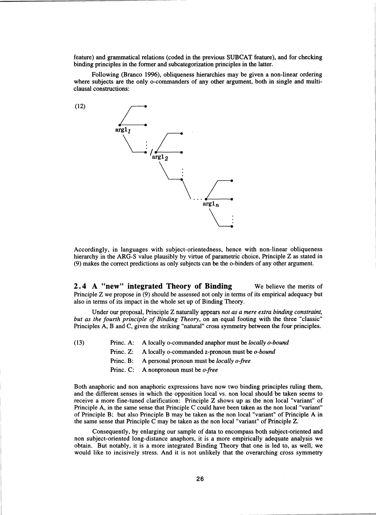feature) and grammatical relations (coded in the previous SUBCAT feature), and for checking binding principles in the former and subcategorization principles in the latter.

Following (Branco 1996), obliqueness hierarchies may be given a non-linear ordering where subjects are the only o-commanders of any other argument, both in single and multiclausal constructions:

(12)



Accordingly, in languages with subject-orientedness, hence with non-linear obliqueness hierarchy in the ARG-S value plausibly by virtue of parametric choice, Principle Z as stated in (9) makes the correct predictions as only subjects can be the o-binders of any other argument.

2.4 A "new" integrated Theory of Binding We believe the merits of Principle Z we propose in (9) should be assessed not only in terms of its empirical adequacy but also in terms of its impact in the whole set up of Binding Theory.

Under our proposal, Principle Z naturally appears *not as a mere extra binding constraint, but as the fourth principle of Binding Theory,* on an equal footing with the three "classic" Principles A, B and C, given the striking "natural" cross symmetry between the four principles.

(13) Princ. A: A locally o-commanded anaphor must be *locally o-bound*

- Princ. Z: A locally o-commanded z-pronoun must be *o-bound*
- Princ. B: A personal pronoun must be *locally o-free*
- Princ. C: A nonpronoun must be *o-free*

Both anaphoric and non anaphoric expressions have now two binding principles ruling them, and the different senses in which the opposition local vs. non local should be taken seems to receive a more fine-tuned clarification: Principle Z shows up as the non local "variant" of Principle A, in the same sense that Principle C could have been taken as the non local "variant" of Principle B; but also Principle B may be taken as the non local "variant" of Principle A in the same sense that Principle C may be taken as the non local "variant" of Principle Z.

Consequently, by enlarging our sample of data to encompass both subject-oriented and non subject-oriented long-distance anaphors, it is a more empirically adequate analysis we obtain. But notably, it is a more integrated Binding Theory that one is led to, as well, we would like to incisively stress. And it is not unlikely that the overarching cross symmetry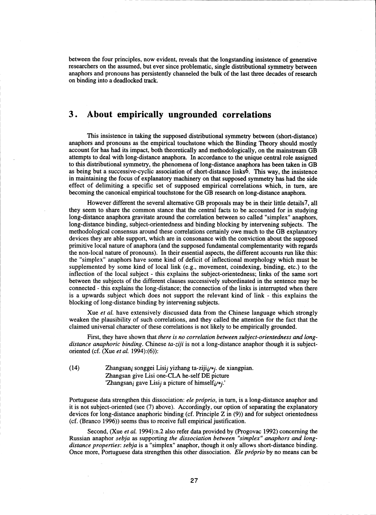between the four principles, now evident, reveals that the longstanding insistence of generative researchers on the assumed, but ever since problematic, single distributional symmetry between anaphors and pronouns has persistently channeled the bulk of the last three decades of research on binding into a deadlocked track.

# 3. About empirically ungrounded correlations

This insistence in taking the supposed distributional symmetry between (short-distance) anaphors and pronouns as the empirical touchstone which the Binding Theory should mostly account for has had its impact, both theoretically and methodologically, on the mainstream GB attempts to deal with long-distance anaphora. In accordance to the unique central role assigned to this distributional symmetry, the phenomena of long-distance anaphora has been taken in GB as being but a successive-cyclic association of short-distance links6. This way, the insistence in maintaining the focus of explanatory machinery on that supposed symmetry has had the side effect of delimiting a specific set of supposed empirical correlations which, in turn, are becoming the canonical empirical touchstone for the GB research on long-distance anaphora.

However different the several alternative GB proposals may be in their little details7, all they seem to share the common stance that the central facts to be accounted for in studying long-distance anaphora gravitate around the correlation between so called "simplex" anaphors, long-distance binding, subject-orientedness and binding blocking by intervening subjects. The methodological consensus around these correlations certainly owe much to the GB explanatory devices they are able support, which are in consonance with the conviction about the supposed primitive local nature of anaphora (and the supposed fundamental complementarity with regards the non-local nature of pronouns). In their essential aspects, the different accounts run like this: the "simplex" anaphors have some kind of deficit of inflectional morphology which must be supplemented by some kind of local link (e.g., movement, coindexing, binding, etc.) to the inflection of the local subject - this explains the subject-orientedness; links of the same sort between the subjects of the different clauses successively subordinated in the sentence may be connected - this explains the long-distance; the connection of the links is interrupted when there is a upwards subject which does not support the relevant kind of link - this explains the blocking of long-distance binding by intervening subjects.

Xue *et al.* have extensively discussed data from the Chinese language which strongly weaken the plausibility of such correlations, and they called the attention for the fact that the claimed universal character of these correlations is not likely to be empirically grounded.

First, they have shown that *there is no correlation between subject-orientedness and long*distance anaphoric binding. Chinese ta-ziji is not a long-distance anaphor though it is subjectoriented (cf. (Xue *et al.* 1994):(6)):

(14) Zhangsan<sub>i</sub> songgei Lisi<sub>j</sub> yizhang ta-ziji<sub>i/\*j</sub>. de xiangpian. Zhangsan give Lisi one-CLA he-self DE picture 'Zhangsan<sub>i</sub> gave Lisij a picture of himself<sub>i</sub>/\*j.'

Portuguese data strengthen this dissociation: *ele próprio*, in turn, is a long-distance anaphor and it is not subject-oriented (see (7) above). Accordingly, our option of separating the explanatory devices for long-distance anaphoric binding (cf. Principle Z in (9)) and for subject orientedness (cf. (Branco 1996)) seems thus to receive full empirical justification.

Second, (Xue *et al.* 1994):n.2 also refer data provided by (Progovac 1992) concerning the Russian anaphor *sebja as* supporting *the dissociation between "simplex" anaphors and longdistance properties: sebja is a* "simplex" anaphor, though it only allows short-distance binding. Once more, Portuguese data strengthen this other dissociation. *Ele próprio* by no means can be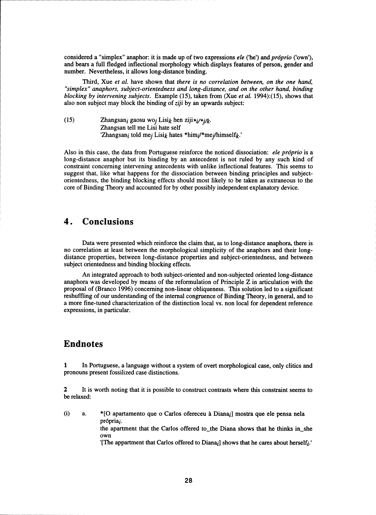considered a "simplex" anaphor: it is made up of two expressions *ele* ('he') and *próprio* ('own'), and bears a full fledged inflectional morphology which displays features of person, gender and number. Nevertheless, it allows long-distance binding.

Third, Xue *et al.* have shown that *there is no correlation between, on the one hand, "simplex" anaphors, subject-orientedness and long-distance, and on the other hand, binding blocking by intervening subjects.* Example (15), taken from (Xue *et al.* 1994):(15), shows that also non subject may block the binding of *ziji* by an upwards subject:

(15) Zhangsan<sub>i</sub> gaosu wo<sub>i</sub> Lisi<sub>k</sub> hen ziji $\ast i/\ast i/k$ . Zhangsan tell me Lisi hate self 'Zhangsan<sub>i</sub> told me<sub>j</sub> Lisi<sub>k</sub> hates \*him<sub>i</sub>/\*me<sub>j</sub>/himself<sub>k</sub>.'

Also in this case, the data from Portuguese reinforce the noticed dissociation: *ele próprio* is a long-distance anaphor but its binding by an antecedent is not ruled by any such kind of constraint concerning intervening antecedents with unlike inflectional features. This seems to suggest that, like what happens for the dissociation between binding principles and subjectorientedness, the binding blocking effects should most likely to be taken as extraneous to the core of Binding Theory and accounted for by other possibly independent explanatory device.

# 4. Conclusions

Data were presented which reinforce the claim that, as to long-distance anaphora, there is no correlation at least between the morphological simplicity of the anaphors and their longdistance properties, between long-distance properties and subject-orientedness, and between subject orientedness and binding blocking effects.

An integrated approach to both subject-oriented and non-subjected oriented long-distance anaphora was developed by means of the reformulation of Principle Z in articulation with the proposal of (Branco 1996) concerning non-linear obliqueness. This solution led to a significant reshuffling of our understanding of the internal congruence of Binding Theory, in general, and to a more fine-tuned characterization of the distinction local vs. non local for dependent reference expressions, in particular.

## Endnotes

1 In Portuguese, a language without a system of overt morphological case, only clitics and pronouns present fossilized case distinctions.

2 It is worth noting that it is possible to construct contrasts where this constraint seems to be relaxed:

(i) a. \*[O apartamento que o Carlos ofereceu a Dianai] mostra que ele pensa nela própria;

> the apartment that the Carlos offered to\_the Diana shows that he thinks in\_she own

> '[The appartment that Carlos offered to Diana<sub>i</sub>] shows that he cares about herself<sub>i</sub>.'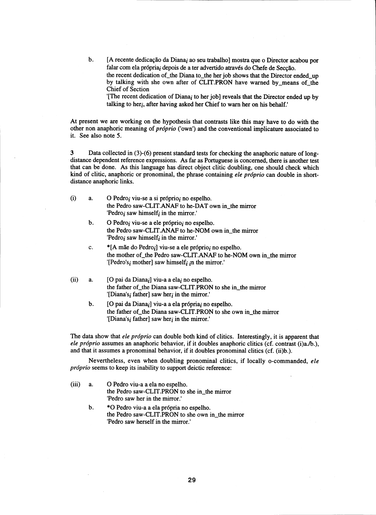b. [A recente dedicacäo da Dianai ao seu trabaiho] mostra que o Director acabou por falar com ela própria; depois de a ter advertido através do Chefe de Seccão. the recent dedication of the Diana to the her job shows that the Director ended up by talking with she own after of CLIT.PRON have warned by means of the Chief of Section

'[The recent dedication of Diana; to her job] reveals that the Director ended up by talking to her<sub>i</sub>, after having asked her Chief to warn her on his behalf.'

At present we are working on the hypothesis that contrasts like this may have to do with the other non anaphoric meaning of *próprio* ('own') and the conventional implicature associated to it. See also note 5.

3 Data collected in (3)-(6) present standard tests for checking the anaphoric nature of longdistance dependent reference expressions. As far as Portuguese is concerned, there is another test that can be done. As this language has direct object clitic doubling, one should check which kind of clitic, anaphoric or pronominal, the phrase containing *ele próprio* can double in shortdistance anaphoric links.

- (i) a.  $O$  Pedro; viu-se a si próprio; no espelho. the Pedro saw-CLIT.ANAF to he-DAT own in\_the mirror 'Pedro; saw himself; in the mirror.'
	- b. O Pedro<sub>i</sub> viu-se a ele próprio<sub>i</sub> no espelho. the Pedro saw-CLIT.ANAF to he-NOM own in\_the mirror 'Pedro<sub>i</sub> saw himself<sub>i</sub> in the mirror.'
	- c.  $*$ [A mãe do Pedro<sub>i</sub>] viu-se a ele próprio<sub>i</sub> no espelho. the mother of the Pedro saw-CLIT.ANAF to he-NOM own in the mirror '[Pedro's<sub>i</sub> mother] saw himself<sub>i</sub> in the mirror.'
- (ii) a.  $[O \text{ pai da Diana}]$  viu-a a ela<sub>i</sub> no espelho. the father of the Diana saw-CLIT.PRON to she in\_the mirror '[Diana's<sub>i</sub> father] saw her<sub>i</sub> in the mirror.'
	- b.  $[O \text{ pai da Diana}_i]$  viu-a a ela própria $i$  no espelho. the father of the Diana saw-CLIT.PRON to she own in the mirror '[Diana's<sub>i</sub> father] saw her<sub>i</sub> in the mirror.'

The data show that *ele próprio* can double both kind of clitics. Interestingly, it is apparent that *ele próprio* assumes an anaphoric behavior, if it doubles anaphoric clitics (cf. contrast (i)a./b.), and that it assumes a pronominal behavior, if it doubles pronominal clitics (cf. (ii)b.).

Nevertheless, even when doubling pronominal clitics, if locally o-commanded, *ele próprio* seems to keep its inability to support deictic reference:

- (iii) a. 0 Pedro viu-a a ela no espelho. the Pedro saw-CLIT.PRON to she in\_the mirror 'Pedro saw her in the mirror.'
	- b. \*O Pedro viu-a a ela própria no espelho. the Pedro saw-CLIT.PRON to she own in\_the mirror 'Pedro saw herself in the mirror.'